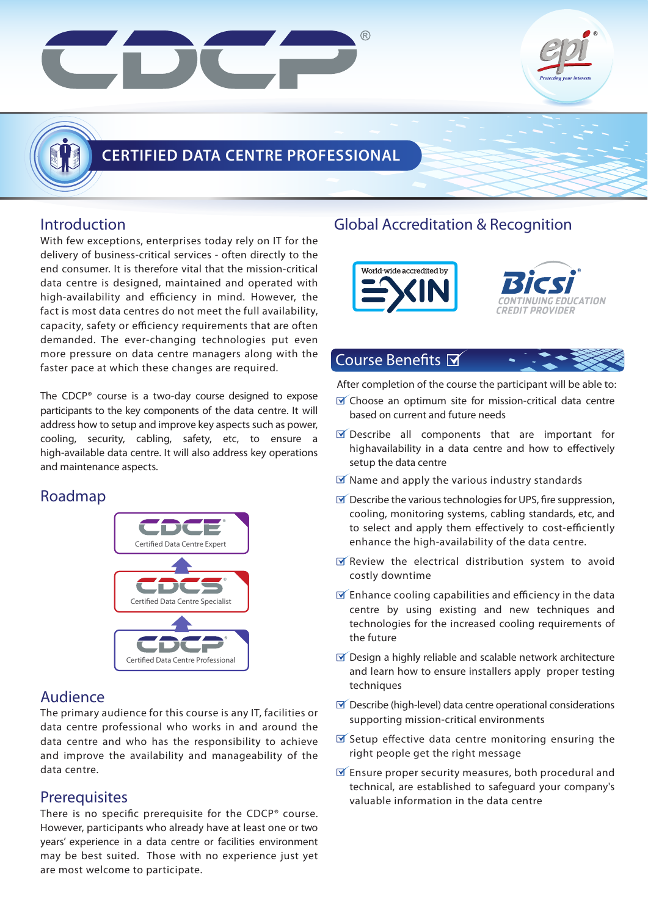

### **Introduction**

With few exceptions, enterprises today rely on IT for the delivery of business-critical services - often directly to the end consumer. It is therefore vital that the mission-critical data centre is designed, maintained and operated with high-availability and efficiency in mind. However, the fact is most data centres do not meet the full availability, capacity, safety or efficiency requirements that are often demanded. The ever-changing technologies put even more pressure on data centre managers along with the faster pace at which these changes are required.

The CDCP® course is a two-day course designed to expose participants to the key components of the data centre. It will address how to setup and improve key aspects such as power, cooling, security, cabling, safety, etc, to ensure a high-available data centre. It will also address key operations and maintenance aspects.

## Roadmap



## Audience

The primary audience for this course is any IT, facilities or data centre professional who works in and around the data centre and who has the responsibility to achieve and improve the availability and manageability of the data centre.

## **Prerequisites**

There is no specific prerequisite for the CDCP® course. However, participants who already have at least one or two years' experience in a data centre or facilities environment may be best suited. Those with no experience just yet are most welcome to participate.

## Global Accreditation & Recognition





### Course Benefits **Ø**

After completion of the course the participant will be able to:

- $\blacksquare$  Choose an optimum site for mission-critical data centre based on current and future needs
- $\triangledown$  Describe all components that are important for highavailability in a data centre and how to effectively setup the data centre
- $\mathbf{\nabla}$  Name and apply the various industry standards
- $\triangledown$  Describe the various technologies for UPS, fire suppression, cooling, monitoring systems, cabling standards, etc, and to select and apply them effectively to cost-efficiently enhance the high-availability of the data centre.
- $\triangledown$  Review the electrical distribution system to avoid costly downtime
- $\triangledown$  Enhance cooling capabilities and efficiency in the data centre by using existing and new techniques and technologies for the increased cooling requirements of the future
- $\triangledown$  Design a highly reliable and scalable network architecture and learn how to ensure installers apply proper testing techniques
- $\triangledown$  Describe (high-level) data centre operational considerations supporting mission-critical environments
- $\triangledown$  Setup effective data centre monitoring ensuring the right people get the right message
- $\mathbb F$  Ensure proper security measures, both procedural and technical, are established to safeguard your company's valuable information in the data centre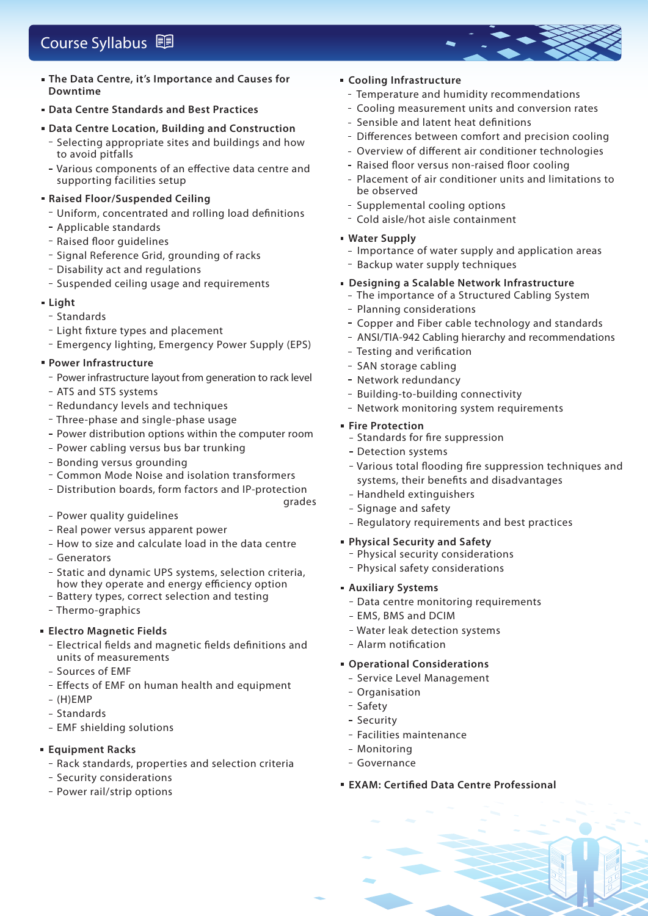# Course Syllabus **国**

- **The Data Centre, it's Importance and Causes for Downtime**
- **Data Centre Standards and Best Practices**
- **Data Centre Location, Building and Construction** - Selecting appropriate sites and buildings and how to avoid pitfalls
	- Various components of an effective data centre and supporting facilities setup

#### **Raised Floor/Suspended Ceiling**

- Uniform, concentrated and rolling load definitions
- Applicable standards
- Raised floor guidelines
- Signal Reference Grid, grounding of racks
- Disability act and regulations
- Suspended ceiling usage and requirements

#### **Light**

- Standards
- Light fixture types and placement
- Emergency lighting, Emergency Power Supply (EPS)

#### **Power Infrastructure**

- Power infrastructure layout from generation to rack level
- ATS and STS systems
- Redundancy levels and techniques
- Three-phase and single-phase usage
- Power distribution options within the computer room
- Power cabling versus bus bar trunking
- Bonding versus grounding
- Common Mode Noise and isolation transformers
- Distribution boards, form factors and IP-protection
- Power quality guidelines
- Real power versus apparent power
- How to size and calculate load in the data centre
- Generators
- Static and dynamic UPS systems, selection criteria, how they operate and energy efficiency option
- Battery types, correct selection and testing
- Thermo-graphics

#### **Electro Magnetic Fields**

- Electrical fields and magnetic fields definitions and units of measurements
- Sources of EMF
- Effects of EMF on human health and equipment
- $-$  (H)EMP
- Standards
- EMF shielding solutions
- **Equipment Racks**
	- Rack standards, properties and selection criteria
	- Security considerations
	- Power rail/strip options

#### **Cooling Infrastructure**

- Temperature and humidity recommendations
- Cooling measurement units and conversion rates
- Sensible and latent heat definitions
- Differences between comfort and precision cooling
- Overview of different air conditioner technologies
- Raised floor versus non-raised floor cooling
- Placement of air conditioner units and limitations to be observed
- Supplemental cooling options
- Cold aisle/hot aisle containment

#### **Water Supply**

- Importance of water supply and application areas
- Backup water supply techniques
- **Designing a Scalable Network Infrastructure**  The importance of a Structured Cabling System
	- Planning considerations
	- Copper and Fiber cable technology and standards
	- ANSI/TIA-942 Cabling hierarchy and recommendations
	- Testing and verification
	- SAN storage cabling
	- Network redundancy
- Building-to-building connectivity
- Network monitoring system requirements

#### **Fire Protection**

grades

- Standards for fire suppression
- Detection systems
- Various total flooding fire suppression techniques and systems, their benefits and disadvantages
- Handheld extinguishers
- Signage and safety
- Regulatory reguirements and best practices
- **Physical Security and Safety**
	- Physical security considerations
	- Physical safety considerations
- **Auxiliary Systems**
	- Data centre monitoring requirements
	- EMS, BMS and DCIM
	- Water leak detection systems
	- Alarm notification

#### **Operational Considerations**

- Service Level Management
- Organisation
- Safety
- Security
- Facilities maintenance
- Monitorina
- Governance
- **EXAM: Certified Data Centre Professional**

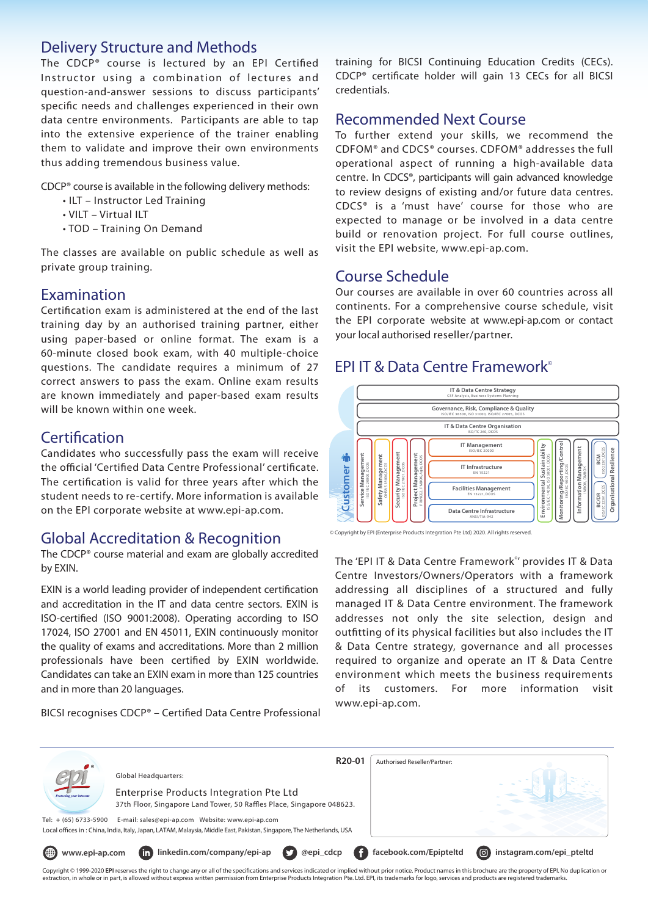### Delivery Structure and Methods

The CDCP® course is lectured by an EPI Certified Instructor using a combination of lectures and question-and-answer sessions to discuss participants' specific needs and challenges experienced in their own data centre environments. Participants are able to tap into the extensive experience of the trainer enabling them to validate and improve their own environments thus adding tremendous business value.

CDCP® course is available in the following delivery methods:

- ILT Instructor Led Training
- VILT Virtual ILT
- TOD Training On Demand

The classes are available on public schedule as well as private group training.

#### Examination

Certification exam is administered at the end of the last training day by an authorised training partner, either using paper-based or online format. The exam is a 60-minute closed book exam, with 40 multiple-choice questions. The candidate requires a minimum of 27 correct answers to pass the exam. Online exam results are known immediately and paper-based exam results will be known within one week.

#### **Certification**

Candidates who successfully pass the exam will receive the official 'Certified Data Centre Professional' certificate. The certification is valid for three years after which the student needs to re-certify. More information is available on the EPI corporate website at www.epi-ap.com.

#### Global Accreditation & Recognition

The CDCP® course material and exam are globally accredited by EXIN.

EXIN is a world leading provider of independent certification and accreditation in the IT and data centre sectors. EXIN is ISO-certified (ISO 9001:2008). Operating according to ISO 17024, ISO 27001 and EN 45011, EXIN continuously monitor the quality of exams and accreditations. More than 2 million professionals have been certified by EXIN worldwide. Candidates can take an EXIN exam in more than 125 countries and in more than 20 languages.

BICSI recognises CDCP® – Certified Data Centre Professional

training for BICSI Continuing Education Credits (CECs). CDCP® certificate holder will gain 13 CECs for all BICSI credentials.

#### Recommended Next Course

To further extend your skills, we recommend the CDFOM® and CDCS® courses. CDFOM® addresses the full operational aspect of running a high-available data centre. In CDCS®, participants will gain advanced knowledge to review designs of existing and/or future data centres. CDCS® is a 'must have' course for those who are expected to manage or be involved in a data centre build or renovation project. For full course outlines, visit the EPI website, www.epi-ap.com.

#### Course Schedule

Our courses are available in over 60 countries across all continents. For a comprehensive course schedule, visit the EPI corporate website at www.epi-ap.com or contact your local authorised reseller/partner.

### EPI IT & Data Centre Framework©



<sup>©</sup> Copyright by EPI (Enterprise Products Integration Pte Ltd) 2020. All rights reserved.

The 'EPI IT & Data Centre Framework<sup>®</sup>' provides IT & Data Centre Investors/Owners/Operators with a framework addressing all disciplines of a structured and fully managed IT & Data Centre environment. The framework addresses not only the site selection, design and outfitting of its physical facilities but also includes the IT & Data Centre strategy, governance and all processes required to organize and operate an IT & Data Centre environment which meets the business requirements of its customers. For more information visit www.epi-ap.com.

| $\bullet$                                                                                                             | R <sub>20</sub> -01                                                                      | Authorised Reseller/Partner: |                                 |
|-----------------------------------------------------------------------------------------------------------------------|------------------------------------------------------------------------------------------|------------------------------|---------------------------------|
| Protecting your interests                                                                                             | Global Headquarters:                                                                     |                              |                                 |
|                                                                                                                       | Enterprise Products Integration Pte Ltd                                                  |                              |                                 |
|                                                                                                                       | 37th Floor, Singapore Land Tower, 50 Raffles Place, Singapore 048623.                    |                              |                                 |
| Tel: $+$ (65) 6733-5900                                                                                               |                                                                                          |                              |                                 |
| Local offices in: China, India, Italy, Japan, LATAM, Malaysia, Middle East, Pakistan, Singapore, The Netherlands, USA |                                                                                          |                              |                                 |
| ⊕<br>www.epi-ap.com                                                                                                   | linkedin.com/company/epi-ap<br>(in)<br>$\boldsymbol{\sigma}$<br>@epi_cdcp<br><b>CENT</b> | facebook.com/Epipteltd       | (回)<br>instagram.com/epi_pteltd |

Copyright © 1999-2020 **EPI** reserves the right to change any or all of the specifications and services indicated or implied without prior notice. Product names in this brochure are the property of EPI. No duplication or ,<br>raction, in whole or in part, is allowed without express written permission from Enterprise Products Integration Pte. Ltd. EPI, its trademarks for logo, services and products are registered trademarks.